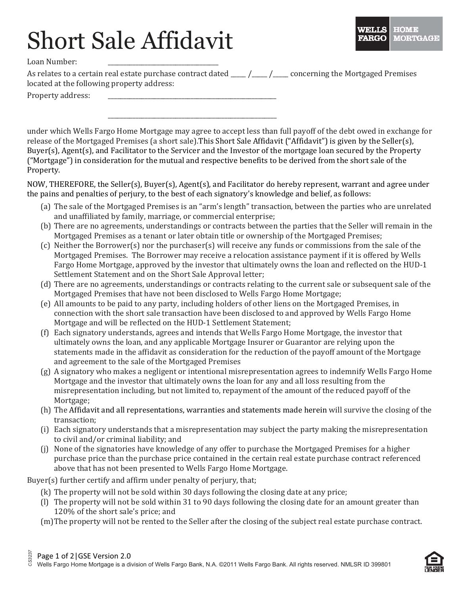## Short Sale Affidavit

Loan Number:

As relates to a certain real estate purchase contract dated  $\frac{1}{\sqrt{1-\frac{1}{2}}}$  concerning the Mortgaged Premises located at the following property address:

Property address:

under which Wells Fargo Home Mortgage may agree to accept less than full payoff of the debt owed in exchange for release of the Mortgaged Premises (a short sale).This Short Sale Affidavit ("Affidavit") is given by the Seller(s), Buyer(s), Agent(s), and Facilitator to the Servicer and the Investor of the mortgage loan secured by the Property ("Mortgage") in consideration for the mutual and respective benefits to be derived from the short sale of the Property.

NOW, THEREFORE, the Seller(s), Buyer(s), Agent(s), and Facilitator do hereby represent, warrant and agree under the pains and penalties of perjury, to the best of each signatory's knowledge and belief, as follows:

- (a) The sale of the Mortgaged Premises is an "arm's length" transaction, between the parties who are unrelated and unaffiliated by family, marriage, or commercial enterprise;
- (b) There are no agreements, understandings or contracts between the parties that the Seller will remain in the Mortgaged Premises as a tenant or later obtain title or ownership of the Mortgaged Premises;
- (c) Neither the Borrower(s) nor the purchaser(s) will receive any funds or commissions from the sale of the Mortgaged Premises. The Borrower may receive a relocation assistance payment if it is offered by Wells Fargo Home Mortgage, approved by the investor that ultimately owns the loan and reflected on the HUD-1 Settlement Statement and on the Short Sale Approval letter;
- (d) There are no agreements, understandings or contracts relating to the current sale or subsequent sale of the Mortgaged Premises that have not been disclosed to Wells Fargo Home Mortgage;
- (e) All amounts to be paid to any party, including holders of other liens on the Mortgaged Premises, in connection with the short sale transaction have been disclosed to and approved by Wells Fargo Home Mortgage and will be reflected on the HUD-1 Settlement Statement;
- (f) Each signatory understands, agrees and intends that Wells Fargo Home Mortgage, the investor that ultimately owns the loan, and any applicable Mortgage Insurer or Guarantor are relying upon the statements made in the affidavit as consideration for the reduction of the payoff amount of the Mortgage and agreement to the sale of the Mortgaged Premises
- (g) A signatory who makes a negligent or intentional misrepresentation agrees to indemnify Wells Fargo Home Mortgage and the investor that ultimately owns the loan for any and all loss resulting from the misrepresentation including, but not limited to, repayment of the amount of the reduced payoff of the Mortgage;
- (h) The Affidavit and all representations, warranties and statements made herein will survive the closing of the transaction;
- (i) Each signatory understands that a misrepresentation may subject the party making the misrepresentation to civil and/or criminal liability; and
- (j) None of the signatories have knowledge of any offer to purchase the Mortgaged Premises for a higher purchase price than the purchase price contained in the certain real estate purchase contract referenced above that has not been presented to Wells Fargo Home Mortgage.

Buyer(s) further certify and affirm under penalty of perjury, that;

- (k) The property will not be sold within 30 days following the closing date at any price;
- (l) The property will not be sold within 31 to 90 days following the closing date for an amount greater than 120% of the short sale's price; and
- (m)The property will not be rented to the Seller after the closing of the subject real estate purchase contract.